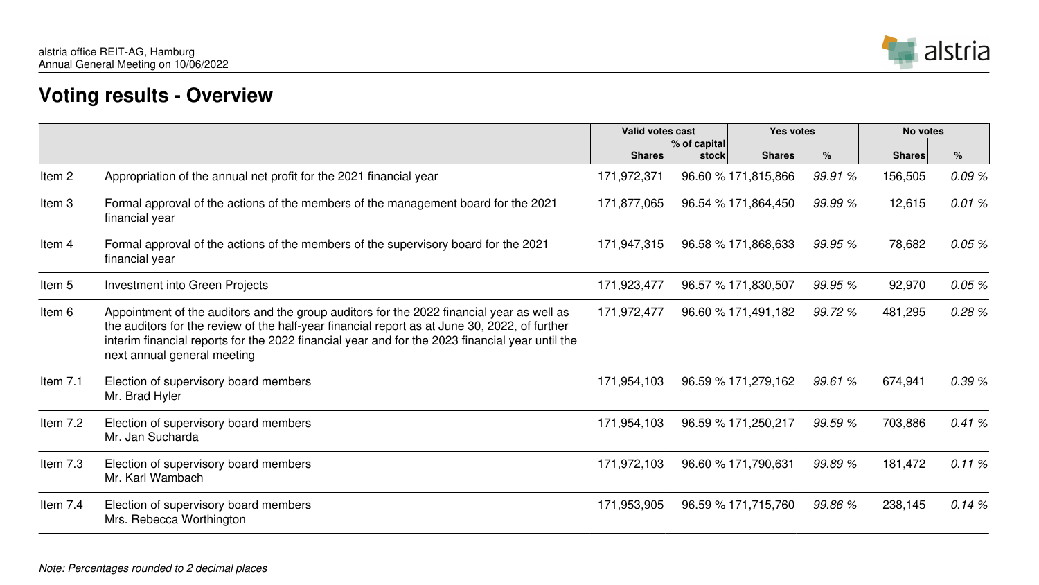## **Voting results - Overview**





|            |                                                                                                                                                                                                                                                                                                                              | <b>Valid votes cast</b><br>% of capital |       | <b>Yes votes</b>    |         | No votes      |       |
|------------|------------------------------------------------------------------------------------------------------------------------------------------------------------------------------------------------------------------------------------------------------------------------------------------------------------------------------|-----------------------------------------|-------|---------------------|---------|---------------|-------|
|            |                                                                                                                                                                                                                                                                                                                              | <b>Shares</b>                           | stock | <b>Shares</b>       | $\%$    | <b>Shares</b> | $\%$  |
| Item 2     | Appropriation of the annual net profit for the 2021 financial year                                                                                                                                                                                                                                                           | 171,972,371                             |       | 96.60 % 171,815,866 | 99.91 % | 156,505       | 0.09% |
| Item 3     | Formal approval of the actions of the members of the management board for the 2021<br>financial year                                                                                                                                                                                                                         | 171,877,065                             |       | 96.54 % 171,864,450 | 99.99 % | 12,615        | 0.01% |
| Item 4     | Formal approval of the actions of the members of the supervisory board for the 2021<br>financial year                                                                                                                                                                                                                        | 171,947,315                             |       | 96.58 % 171,868,633 | 99.95%  | 78,682        | 0.05% |
| Item 5     | <b>Investment into Green Projects</b>                                                                                                                                                                                                                                                                                        | 171,923,477                             |       | 96.57 % 171,830,507 | 99.95 % | 92,970        | 0.05% |
| Item 6     | Appointment of the auditors and the group auditors for the 2022 financial year as well as<br>the auditors for the review of the half-year financial report as at June 30, 2022, of further<br>interim financial reports for the 2022 financial year and for the 2023 financial year until the<br>next annual general meeting | 171,972,477                             |       | 96.60 % 171,491,182 | 99.72 % | 481,295       | 0.28% |
| Item $7.1$ | Election of supervisory board members<br>Mr. Brad Hyler                                                                                                                                                                                                                                                                      | 171,954,103                             |       | 96.59 % 171,279,162 | 99.61 % | 674,941       | 0.39% |
| Item $7.2$ | Election of supervisory board members<br>Mr. Jan Sucharda                                                                                                                                                                                                                                                                    | 171,954,103                             |       | 96.59 % 171,250,217 | 99.59%  | 703,886       | 0.41% |
| Item $7.3$ | Election of supervisory board members<br>Mr. Karl Wambach                                                                                                                                                                                                                                                                    | 171,972,103                             |       | 96.60 % 171,790,631 | 99.89 % | 181,472       | 0.11% |
| Item $7.4$ | Election of supervisory board members<br>Mrs. Rebecca Worthington                                                                                                                                                                                                                                                            | 171,953,905                             |       | 96.59 % 171,715,760 | 99.86 % | 238,145       | 0.14% |